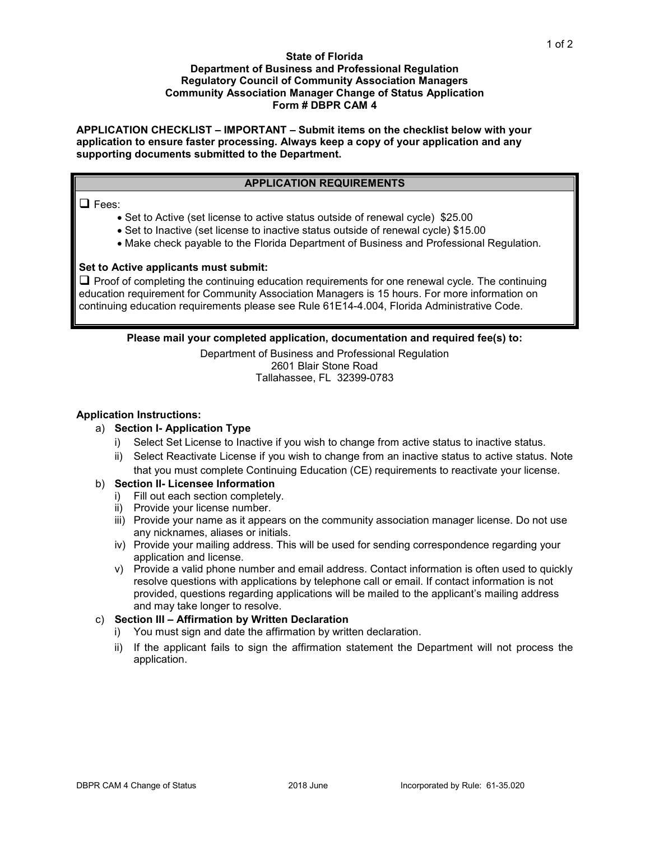#### **State of Florida Department of Business and Professional Regulation Regulatory Council of Community Association Managers Community Association Manager Change of Status Application Form # DBPR CAM 4**

**APPLICATION CHECKLIST – IMPORTANT – Submit items on the checklist below with your application to ensure faster processing. Always keep a copy of your application and any supporting documents submitted to the Department.** 

## **APPLICATION REQUIREMENTS**

### $\Box$  Fees:

- Set to Active (set license to active status outside of renewal cycle) \$25.00
- Set to Inactive (set license to inactive status outside of renewal cycle) \$15.00
- Make check payable to the Florida Department of Business and Professional Regulation.

## **Set to Active applicants must submit:**

 $\Box$  Proof of completing the continuing education requirements for one renewal cycle. The continuing education requirement for Community Association Managers is 15 hours. For more information on continuing education requirements please see Rule 61E14-4.004, Florida Administrative Code.

## **Please mail your completed application, documentation and required fee(s) to:**

Department of Business and Professional Regulation 2601 Blair Stone Road Tallahassee, FL 32399-0783

### **Application Instructions:**

# a) **Section I- Application Type**

- i) Select Set License to Inactive if you wish to change from active status to inactive status.
- ii) Select Reactivate License if you wish to change from an inactive status to active status. Note that you must complete Continuing Education (CE) requirements to reactivate your license.

#### b) **Section II- Licensee Information**

- i) Fill out each section completely.
- ii) Provide your license number.
- iii) Provide your name as it appears on the community association manager license. Do not use any nicknames, aliases or initials.
- iv) Provide your mailing address. This will be used for sending correspondence regarding your application and license.
- v) Provide a valid phone number and email address. Contact information is often used to quickly resolve questions with applications by telephone call or email. If contact information is not provided, questions regarding applications will be mailed to the applicant's mailing address and may take longer to resolve.

# c) **Section III – Affirmation by Written Declaration**

- i) You must sign and date the affirmation by written declaration.
- ii) If the applicant fails to sign the affirmation statement the Department will not process the application.